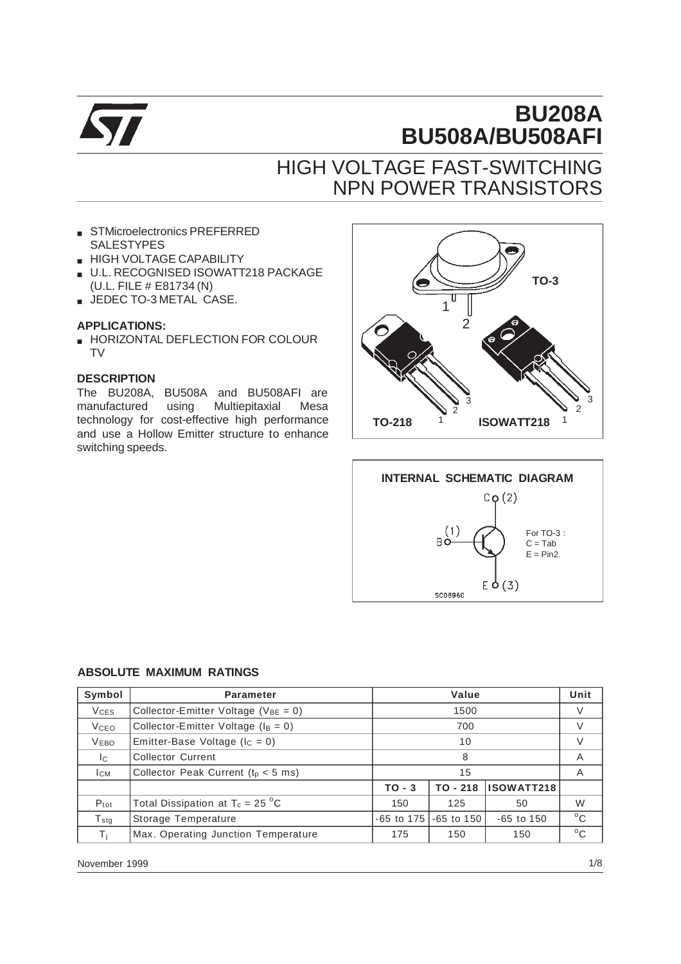

# **BU208A BU508A/BU508AFI**

## HIGH VOLTAGE FAST-SWITCHING NPN POWER TRANSISTORS

- STMicroelectronics PREFERRED SALESTYPES
- **HIGH VOLTAGE CAPABILITY**
- U.L. RECOGNISED ISOWATT218 PACKAGE (U.L. FILE # E81734 (N)
- JEDEC TO-3 METAL CASE.

#### **APPLICATIONS:**

■ HORIZONTAL DEFLECTION FOR COLOUR TV

#### **DESCRIPTION**

The BU208A, BU508A and BU508AFI are manufactured using Multiepitaxial Mesa technology for cost-effective high performance and use a Hollow Emitter structure to enhance switching speeds.





#### **ABSOLUTE MAXIMUM RATINGS**

| Symbol                 | <b>Parameter</b>                           |                                      | Unit           |              |              |
|------------------------|--------------------------------------------|--------------------------------------|----------------|--------------|--------------|
| <b>V<sub>CES</sub></b> | Collector-Emitter Voltage ( $V_{BE} = 0$ ) |                                      | V              |              |              |
| <b>V</b> ceo           | Collector-Emitter Voltage ( $I_B = 0$ )    | 700                                  |                |              | V            |
| <b>VEBO</b>            | Emitter-Base Voltage ( $I_c = 0$ )         |                                      | $\vee$         |              |              |
| Ic.                    | <b>Collector Current</b>                   | 8                                    |                |              | A            |
| Iсм                    | Collector Peak Current ( $t0 < 5$ ms)      |                                      | A              |              |              |
|                        |                                            | ISOWATT218<br>$TO - 3$<br>$TO - 218$ |                |              |              |
| $P_{\text{tot}}$       | Total Dissipation at $T_c = 25 \degree C$  | 150                                  | 125            | 50           | W            |
| $T_{\rm stg}$          | Storage Temperature                        | $-65$ to 175                         | $-65$ to $150$ | $-65$ to 150 | $^{\circ}$ C |
| Τi                     | Max. Operating Junction Temperature        | 175                                  | 150<br>150     |              |              |

November 1999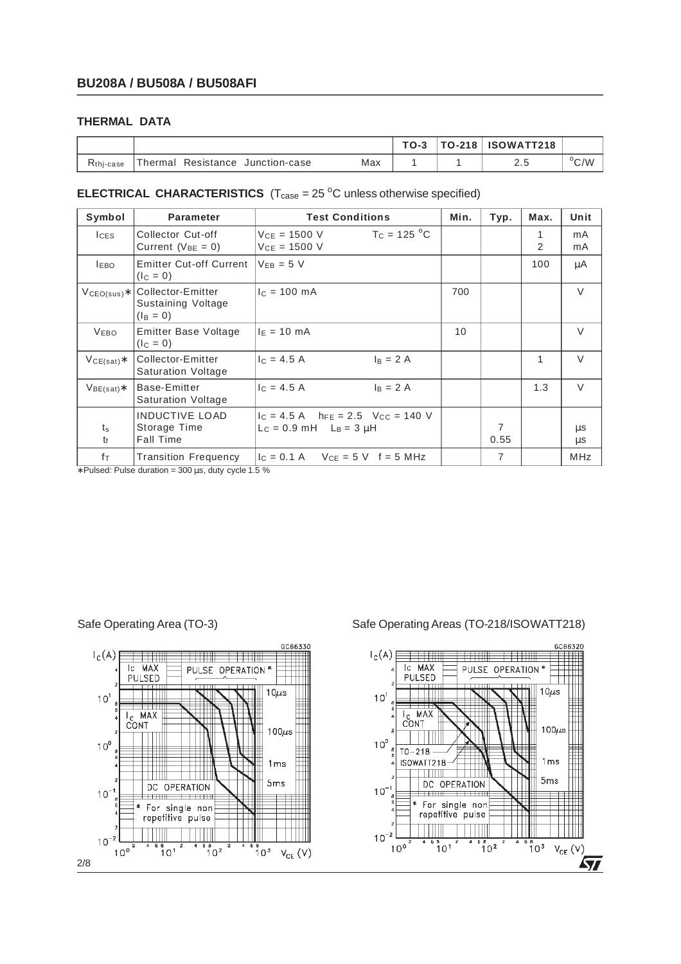### **THERMAL DATA**

|               |                                     |     | $TO-3$ | $TO-218$ | <b>ISOWATT218</b> |              |
|---------------|-------------------------------------|-----|--------|----------|-------------------|--------------|
| $Rthi - case$ | Thermal<br>Resistance Junction-case | Max |        |          | ۰۰                | $\rm{^o}C/W$ |

### **ELECTRICAL CHARACTERISTICS**  $(T_{\text{case}} = 25 \degree C \text{ unless otherwise specified})$

| Symbol                  | <b>Parameter</b>                                          | <b>Test Conditions</b>                                                    | Min. | Typ.      | Max.   | Unit       |
|-------------------------|-----------------------------------------------------------|---------------------------------------------------------------------------|------|-----------|--------|------------|
| <b>I</b> CES            | Collector Cut-off<br>Current ( $V_{BE} = 0$ )             | $T_c = 125 °C$<br>$V_{CE} = 1500 V$<br>$V_{CF} = 1500 V$                  |      |           | 1<br>2 | mA<br>mA   |
| <b>LEBO</b>             | <b>Emitter Cut-off Current</b><br>$(I_C = 0)$             | $V_{FB} = 5 V$                                                            |      |           | 100    | μA         |
| $V_{\text{CEO(sus)}}$ * | Collector-Emitter<br>Sustaining Voltage<br>$(I_B = 0)$    | $IC = 100$ mA                                                             | 700  |           |        | $\vee$     |
| <b>VEBO</b>             | Emitter Base Voltage<br>$(I_C = 0)$                       | $I_E = 10$ mA                                                             | 10   |           |        | $\vee$     |
| $VCE(sat)*$             | Collector-Emitter<br><b>Saturation Voltage</b>            | $c = 4.5 A$<br>$I_B = 2A$                                                 |      |           | 1      | $\vee$     |
| $V_{BE(sat)}$           | Base-Emitter<br><b>Saturation Voltage</b>                 | $c = 4.5 A$<br>$I_B = 2A$                                                 |      |           | 1.3    | $\vee$     |
| $t_{\rm s}$<br>t        | <b>INDUCTIVE LOAD</b><br>Storage Time<br><b>Fall Time</b> | $1c = 4.5$ A $h_{FE} = 2.5$ Vcc = 140 V<br>$L_C = 0.9$ mH $L_B = 3 \mu H$ |      | 7<br>0.55 |        | μs<br>μs   |
| fτ                      | <b>Transition Frequency</b>                               | $ c = 0.1 A$ $Vce = 5 V$ $f = 5 MHz$                                      |      | 7         |        | <b>MHz</b> |

∗ Pulsed: Pulse duration = 300 µs, duty cycle 1.5 %



Safe Operating Area (TO-3) Safe Operating Areas (TO-218/ISOWATT218)

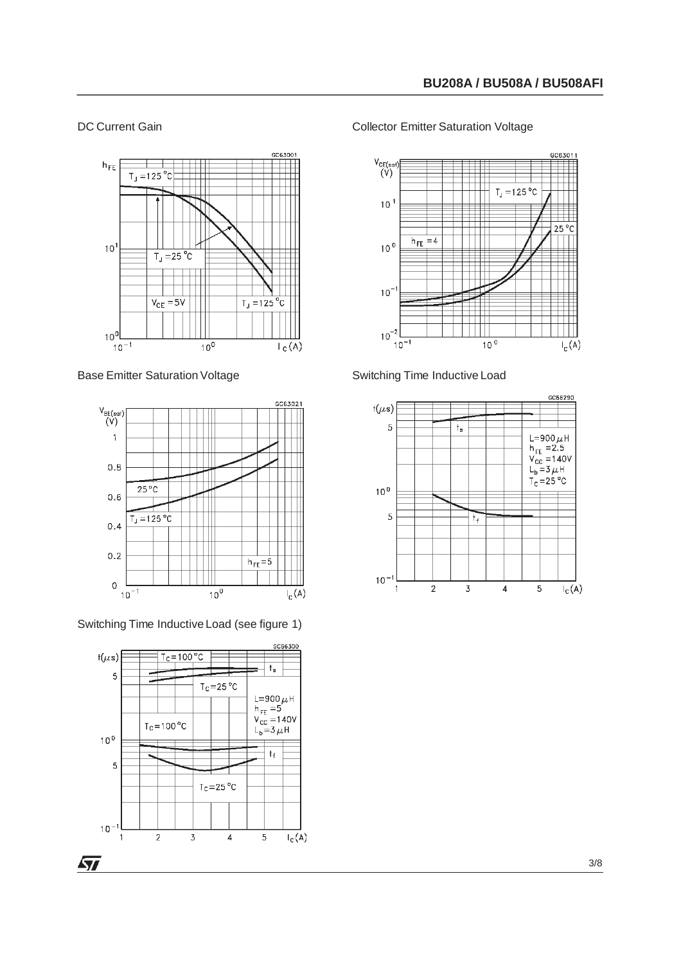#### DC Current Gain



Base Emitter Saturation Voltage







#### Collector Emitter Saturation Voltage





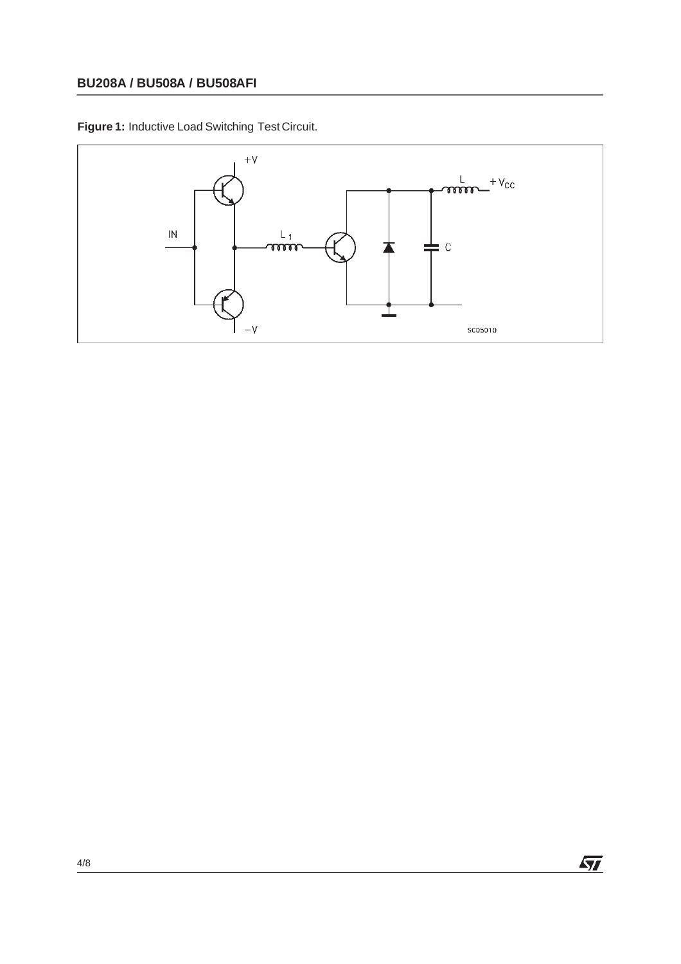**Figure 1:** Inductive Load Switching Test Circuit.



 $\sqrt{M}$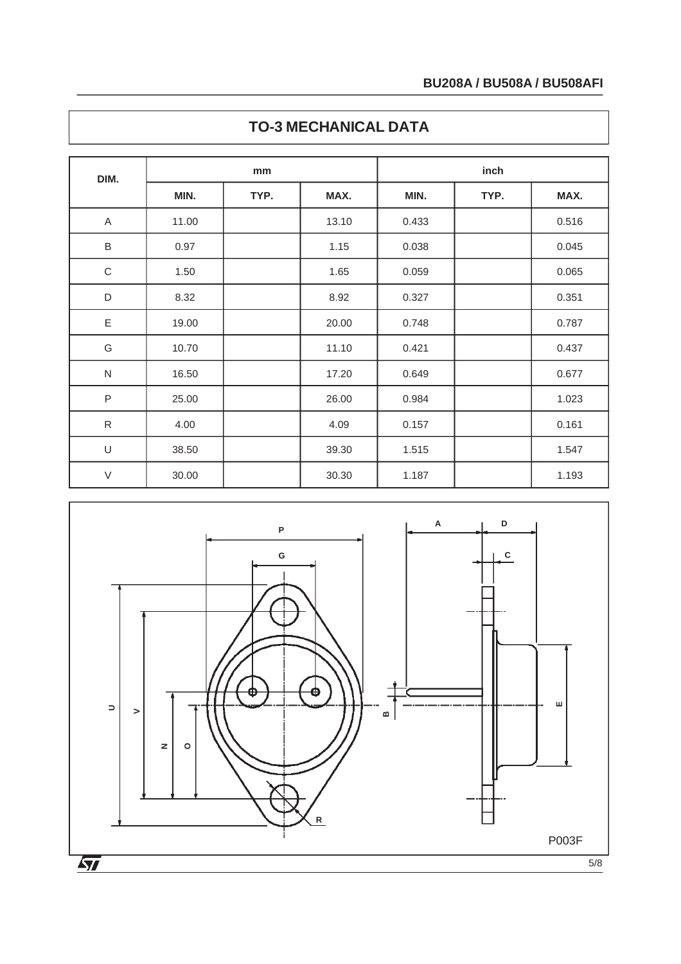| DIM.         | mm    |      |       | inch  |      |       |  |
|--------------|-------|------|-------|-------|------|-------|--|
|              | MIN.  | TYP. | MAX.  | MIN.  | TYP. | MAX.  |  |
| A            | 11.00 |      | 13.10 | 0.433 |      | 0.516 |  |
| $\sf B$      | 0.97  |      | 1.15  | 0.038 |      | 0.045 |  |
| $\mathsf C$  | 1.50  |      | 1.65  | 0.059 |      | 0.065 |  |
| D            | 8.32  |      | 8.92  | 0.327 |      | 0.351 |  |
| E            | 19.00 |      | 20.00 | 0.748 |      | 0.787 |  |
| G            | 10.70 |      | 11.10 | 0.421 |      | 0.437 |  |
| $\mathsf{N}$ | 16.50 |      | 17.20 | 0.649 |      | 0.677 |  |
| $\sf P$      | 25.00 |      | 26.00 | 0.984 |      | 1.023 |  |
| ${\sf R}$    | 4.00  |      | 4.09  | 0.157 |      | 0.161 |  |
| $\cup$       | 38.50 |      | 39.30 | 1.515 |      | 1.547 |  |
| $\vee$       | 30.00 |      | 30.30 | 1.187 |      | 1.193 |  |

## **TO-3 MECHANICAL DATA**

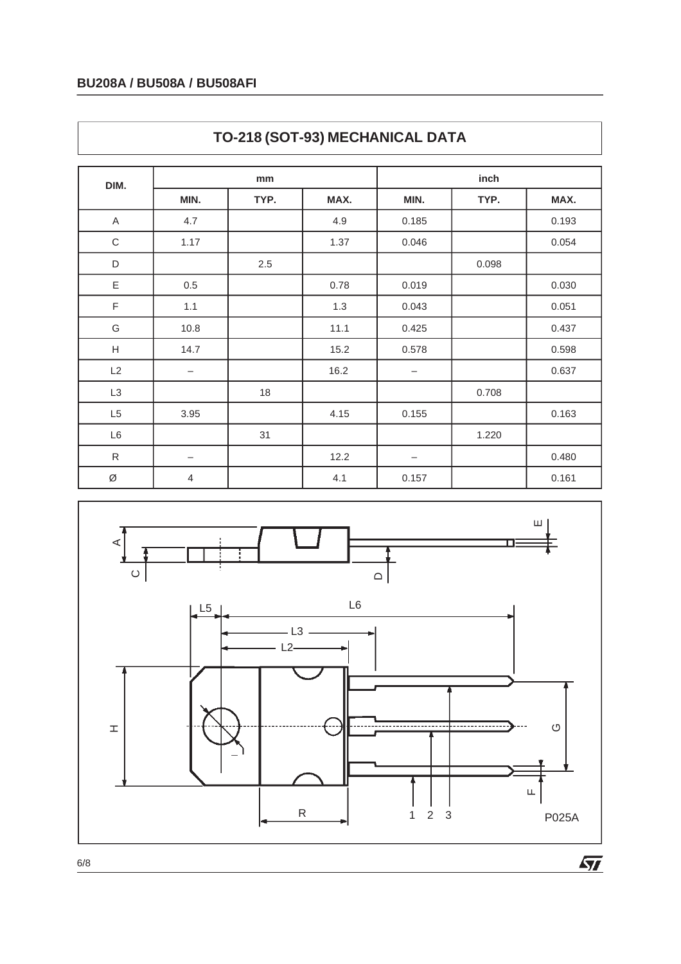| DIM.                      | mm                |      |      | inch                     |       |       |  |
|---------------------------|-------------------|------|------|--------------------------|-------|-------|--|
|                           | MIN.              | TYP. | MAX. | MIN.                     | TYP.  | MAX.  |  |
| A                         | 4.7               |      | 4.9  | 0.185                    |       | 0.193 |  |
| $\mathsf C$               | 1.17              |      | 1.37 | 0.046                    |       | 0.054 |  |
| $\mathsf D$               |                   | 2.5  |      |                          | 0.098 |       |  |
| Ε                         | 0.5               |      | 0.78 | 0.019                    |       | 0.030 |  |
| F                         | 1.1               |      | 1.3  | 0.043                    |       | 0.051 |  |
| G                         | 10.8              |      | 11.1 | 0.425                    |       | 0.437 |  |
| $\boldsymbol{\mathsf{H}}$ | 14.7              |      | 15.2 | 0.578                    |       | 0.598 |  |
| L2                        | $\qquad \qquad -$ |      | 16.2 | $\overline{\phantom{m}}$ |       | 0.637 |  |
| L <sub>3</sub>            |                   | 18   |      |                          | 0.708 |       |  |
| L <sub>5</sub>            | 3.95              |      | 4.15 | 0.155                    |       | 0.163 |  |
| L6                        |                   | 31   |      |                          | 1.220 |       |  |
| ${\sf R}$                 | $\qquad \qquad -$ |      | 12.2 | $\overline{\phantom{m}}$ |       | 0.480 |  |
| Ø                         | $\overline{4}$    |      | 4.1  | 0.157                    |       | 0.161 |  |





6/8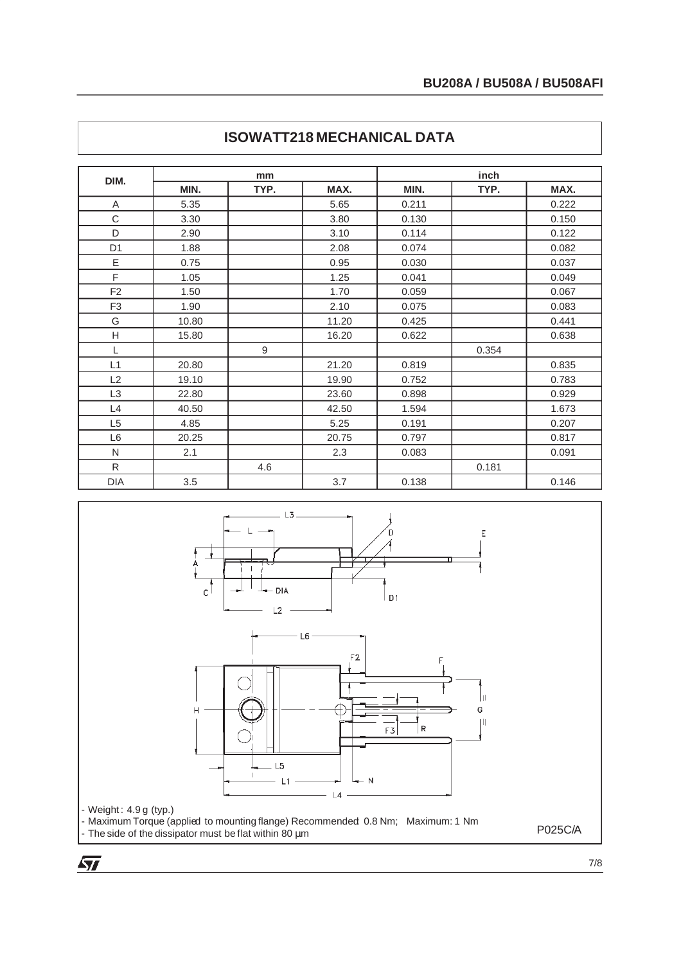| DIM.           | mm    |                  |       | inch  |       |       |  |
|----------------|-------|------------------|-------|-------|-------|-------|--|
|                | MIN.  | TYP.             | MAX.  | MIN.  | TYP.  | MAX.  |  |
| A              | 5.35  |                  | 5.65  | 0.211 |       | 0.222 |  |
| C              | 3.30  |                  | 3.80  | 0.130 |       | 0.150 |  |
| D              | 2.90  |                  | 3.10  | 0.114 |       | 0.122 |  |
| D <sub>1</sub> | 1.88  |                  | 2.08  | 0.074 |       | 0.082 |  |
| E              | 0.75  |                  | 0.95  | 0.030 |       | 0.037 |  |
| F              | 1.05  |                  | 1.25  | 0.041 |       | 0.049 |  |
| F <sub>2</sub> | 1.50  |                  | 1.70  | 0.059 |       | 0.067 |  |
| F <sub>3</sub> | 1.90  |                  | 2.10  | 0.075 |       | 0.083 |  |
| G              | 10.80 |                  | 11.20 | 0.425 |       | 0.441 |  |
| H              | 15.80 |                  | 16.20 | 0.622 |       | 0.638 |  |
| L              |       | $\boldsymbol{9}$ |       |       | 0.354 |       |  |
| L1             | 20.80 |                  | 21.20 | 0.819 |       | 0.835 |  |
| L2             | 19.10 |                  | 19.90 | 0.752 |       | 0.783 |  |
| L <sub>3</sub> | 22.80 |                  | 23.60 | 0.898 |       | 0.929 |  |
| L4             | 40.50 |                  | 42.50 | 1.594 |       | 1.673 |  |
| L <sub>5</sub> | 4.85  |                  | 5.25  | 0.191 |       | 0.207 |  |
| L <sub>6</sub> | 20.25 |                  | 20.75 | 0.797 |       | 0.817 |  |
| ${\sf N}$      | 2.1   |                  | 2.3   | 0.083 |       | 0.091 |  |
| ${\sf R}$      |       | 4.6              |       |       | 0.181 |       |  |
| <b>DIA</b>     | 3.5   |                  | 3.7   | 0.138 |       | 0.146 |  |